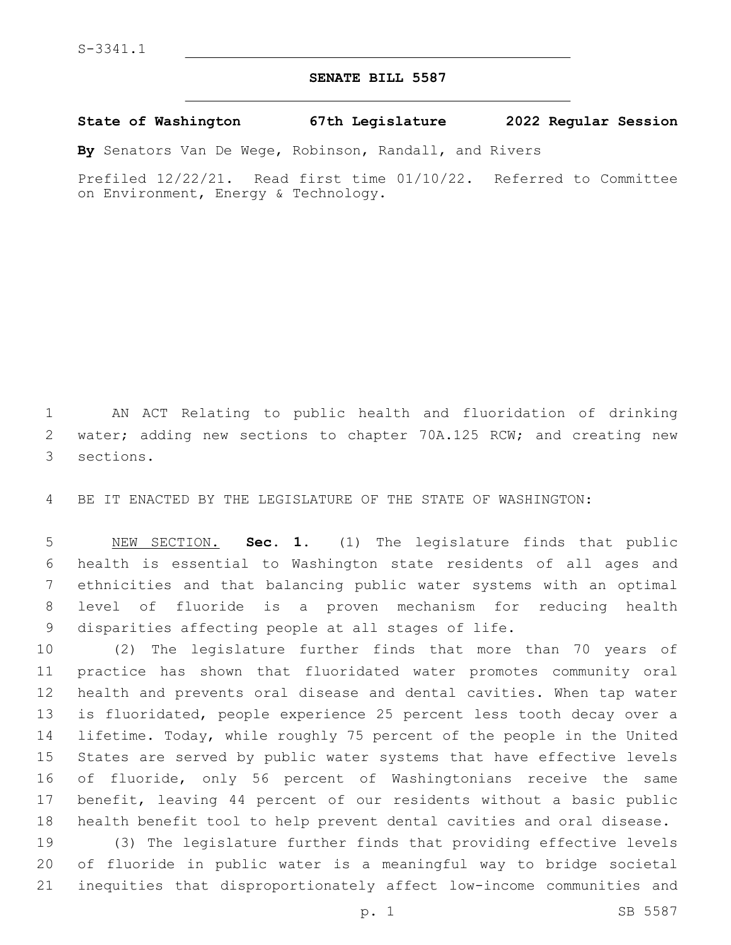## **SENATE BILL 5587**

**State of Washington 67th Legislature 2022 Regular Session**

**By** Senators Van De Wege, Robinson, Randall, and Rivers

Prefiled 12/22/21. Read first time 01/10/22. Referred to Committee on Environment, Energy & Technology.

 AN ACT Relating to public health and fluoridation of drinking 2 water; adding new sections to chapter 70A.125 RCW; and creating new 3 sections.

BE IT ENACTED BY THE LEGISLATURE OF THE STATE OF WASHINGTON:

 NEW SECTION. **Sec. 1.** (1) The legislature finds that public health is essential to Washington state residents of all ages and ethnicities and that balancing public water systems with an optimal level of fluoride is a proven mechanism for reducing health disparities affecting people at all stages of life.

 (2) The legislature further finds that more than 70 years of practice has shown that fluoridated water promotes community oral health and prevents oral disease and dental cavities. When tap water is fluoridated, people experience 25 percent less tooth decay over a lifetime. Today, while roughly 75 percent of the people in the United States are served by public water systems that have effective levels of fluoride, only 56 percent of Washingtonians receive the same benefit, leaving 44 percent of our residents without a basic public health benefit tool to help prevent dental cavities and oral disease.

 (3) The legislature further finds that providing effective levels of fluoride in public water is a meaningful way to bridge societal inequities that disproportionately affect low-income communities and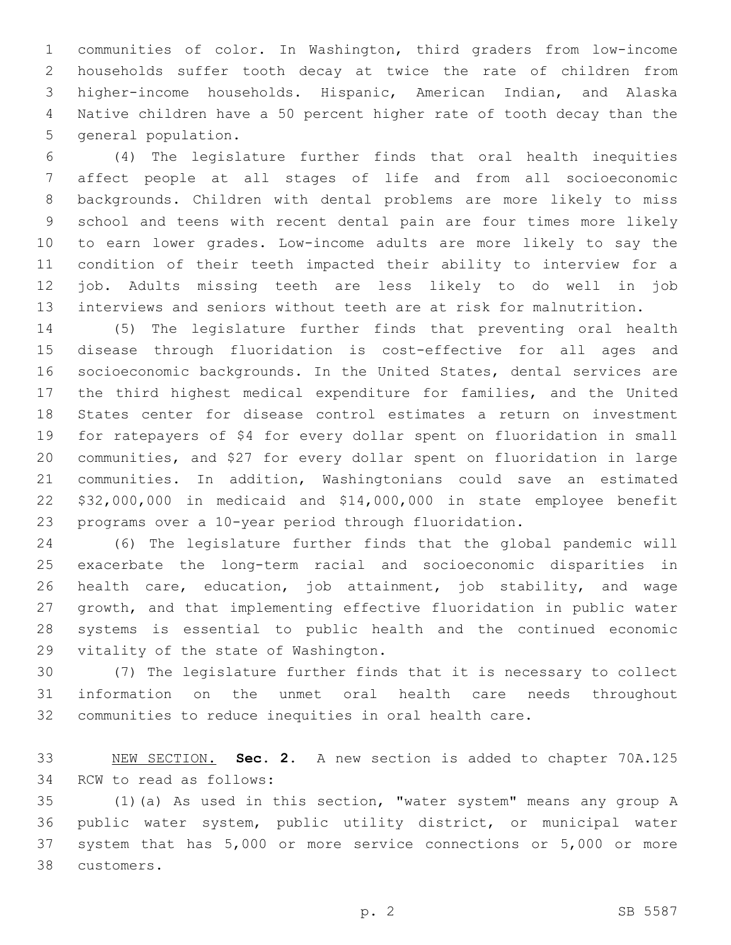communities of color. In Washington, third graders from low-income households suffer tooth decay at twice the rate of children from higher-income households. Hispanic, American Indian, and Alaska Native children have a 50 percent higher rate of tooth decay than the 5 general population.

 (4) The legislature further finds that oral health inequities affect people at all stages of life and from all socioeconomic backgrounds. Children with dental problems are more likely to miss school and teens with recent dental pain are four times more likely to earn lower grades. Low-income adults are more likely to say the condition of their teeth impacted their ability to interview for a job. Adults missing teeth are less likely to do well in job interviews and seniors without teeth are at risk for malnutrition.

 (5) The legislature further finds that preventing oral health disease through fluoridation is cost-effective for all ages and 16 socioeconomic backgrounds. In the United States, dental services are the third highest medical expenditure for families, and the United States center for disease control estimates a return on investment for ratepayers of \$4 for every dollar spent on fluoridation in small communities, and \$27 for every dollar spent on fluoridation in large communities. In addition, Washingtonians could save an estimated \$32,000,000 in medicaid and \$14,000,000 in state employee benefit programs over a 10-year period through fluoridation.

 (6) The legislature further finds that the global pandemic will exacerbate the long-term racial and socioeconomic disparities in health care, education, job attainment, job stability, and wage growth, and that implementing effective fluoridation in public water systems is essential to public health and the continued economic 29 vitality of the state of Washington.

 (7) The legislature further finds that it is necessary to collect information on the unmet oral health care needs throughout communities to reduce inequities in oral health care.

 NEW SECTION. **Sec. 2.** A new section is added to chapter 70A.125 34 RCW to read as follows:

 (1)(a) As used in this section, "water system" means any group A public water system, public utility district, or municipal water system that has 5,000 or more service connections or 5,000 or more customers.38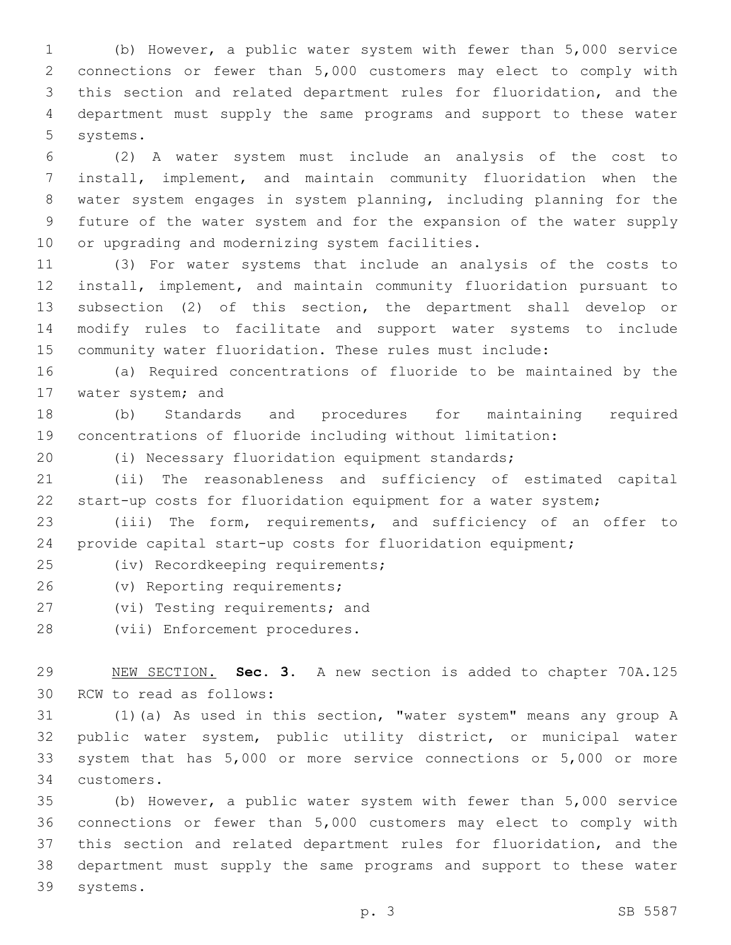(b) However, a public water system with fewer than 5,000 service connections or fewer than 5,000 customers may elect to comply with this section and related department rules for fluoridation, and the department must supply the same programs and support to these water 5 systems.

 (2) A water system must include an analysis of the cost to install, implement, and maintain community fluoridation when the water system engages in system planning, including planning for the future of the water system and for the expansion of the water supply 10 or upgrading and modernizing system facilities.

 (3) For water systems that include an analysis of the costs to install, implement, and maintain community fluoridation pursuant to subsection (2) of this section, the department shall develop or modify rules to facilitate and support water systems to include community water fluoridation. These rules must include:

 (a) Required concentrations of fluoride to be maintained by the 17 water system; and

 (b) Standards and procedures for maintaining required concentrations of fluoride including without limitation:

(i) Necessary fluoridation equipment standards;

 (ii) The reasonableness and sufficiency of estimated capital start-up costs for fluoridation equipment for a water system;

 (iii) The form, requirements, and sufficiency of an offer to provide capital start-up costs for fluoridation equipment;

25 (iv) Recordkeeping requirements;

26 (v) Reporting requirements;

27 (vi) Testing requirements; and

28 (vii) Enforcement procedures.

 NEW SECTION. **Sec. 3.** A new section is added to chapter 70A.125 30 RCW to read as follows:

 (1)(a) As used in this section, "water system" means any group A public water system, public utility district, or municipal water system that has 5,000 or more service connections or 5,000 or more customers.34

 (b) However, a public water system with fewer than 5,000 service connections or fewer than 5,000 customers may elect to comply with this section and related department rules for fluoridation, and the department must supply the same programs and support to these water 39 systems.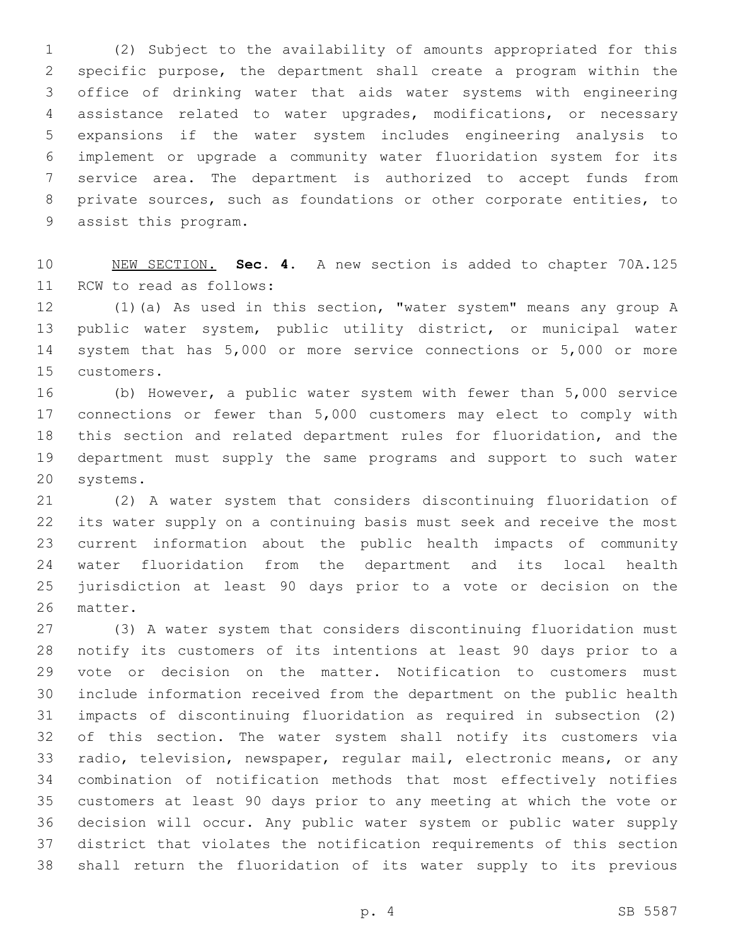(2) Subject to the availability of amounts appropriated for this specific purpose, the department shall create a program within the office of drinking water that aids water systems with engineering assistance related to water upgrades, modifications, or necessary expansions if the water system includes engineering analysis to implement or upgrade a community water fluoridation system for its service area. The department is authorized to accept funds from private sources, such as foundations or other corporate entities, to 9 assist this program.

 NEW SECTION. **Sec. 4.** A new section is added to chapter 70A.125 11 RCW to read as follows:

 (1)(a) As used in this section, "water system" means any group A public water system, public utility district, or municipal water system that has 5,000 or more service connections or 5,000 or more 15 customers.

 (b) However, a public water system with fewer than 5,000 service connections or fewer than 5,000 customers may elect to comply with this section and related department rules for fluoridation, and the department must supply the same programs and support to such water 20 systems.

 (2) A water system that considers discontinuing fluoridation of its water supply on a continuing basis must seek and receive the most current information about the public health impacts of community water fluoridation from the department and its local health jurisdiction at least 90 days prior to a vote or decision on the 26 matter.

 (3) A water system that considers discontinuing fluoridation must notify its customers of its intentions at least 90 days prior to a vote or decision on the matter. Notification to customers must include information received from the department on the public health impacts of discontinuing fluoridation as required in subsection (2) of this section. The water system shall notify its customers via radio, television, newspaper, regular mail, electronic means, or any combination of notification methods that most effectively notifies customers at least 90 days prior to any meeting at which the vote or decision will occur. Any public water system or public water supply district that violates the notification requirements of this section shall return the fluoridation of its water supply to its previous